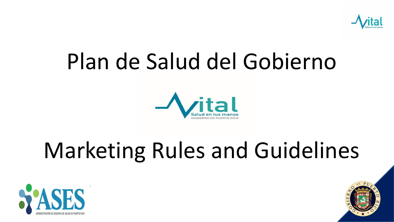

# Plan de Salud del Gobierno



# Marketing Rules and Guidelines



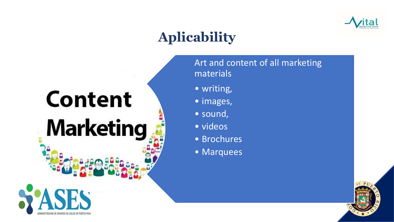

# **Aplicability**

# Content **Marketing**

Art and content of all marketing materials

- writing,
- images,
- sound,
- videos
- Brochures
- Marquees

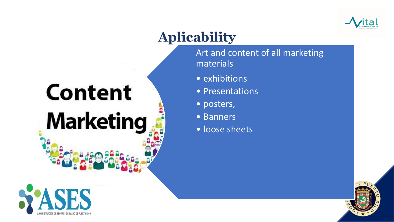

# **Aplicability**

Art and content of all marketing materials

- exhibitions
- Presentations
- posters,
- Banners
- loose sheets



Content

**Marketing** 

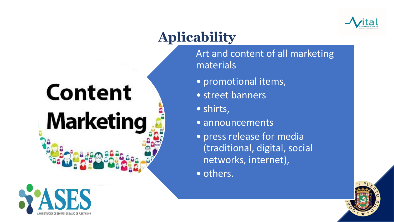

# **Aplicability**

Art and content of all marketing materials

- promotional items,
- street banners
- shirts,
- announcements
- press release for media (traditional, digital, social networks, internet),
- others.



Content

**Marketing**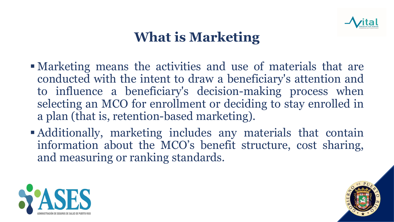

# **What is Marketing**

- Marketing means the activities and use of materials that are conducted with the intent to draw a beneficiary's attention and to influence a beneficiary's decision-making process when selecting an MCO for enrollment or deciding to stay enrolled in a plan (that is, retention-based marketing).
- Additionally, marketing includes any materials that contain information about the MCO's benefit structure, cost sharing, and measuring or ranking standards.



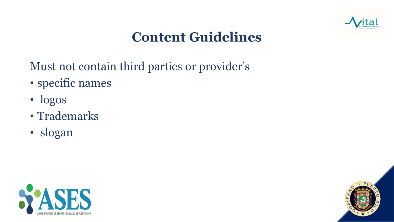

# **Content Guidelines**

Must not contain third parties or provider's

- specific names
- logos
- Trademarks
- slogan



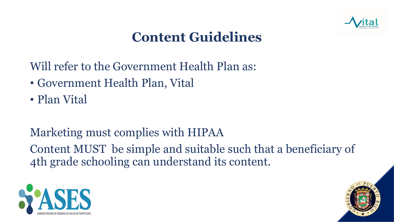

# **Content Guidelines**

Will refer to the Government Health Plan as:

- Government Health Plan, Vital
- Plan Vital

Marketing must complies with HIPAA Content MUST be simple and suitable such that a beneficiary of 4th grade schooling can understand its content.



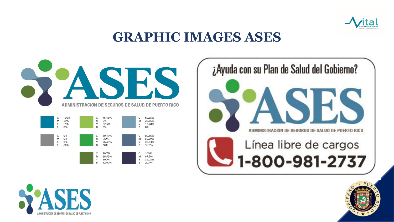

### **GRAPHIC IMAGES ASES**





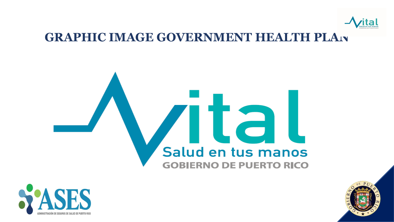

#### **GRAPHIC IMAGE GOVERNMENT HEALTH PLAN**

# I a Salud en tus manos **GOBIERNO DE PUERTO RICO**



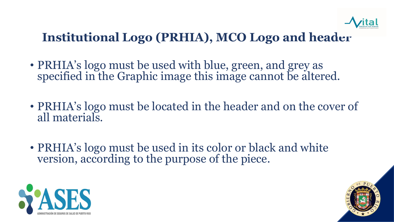

# **Institutional Logo (PRHIA), MCO Logo and header**

- PRHIA's logo must be used with blue, green, and grey as specified in the Graphic image this image cannot be altered.
- PRHIA's logo must be located in the header and on the cover of all materials.
- PRHIA's logo must be used in its color or black and white version, according to the purpose of the piece.



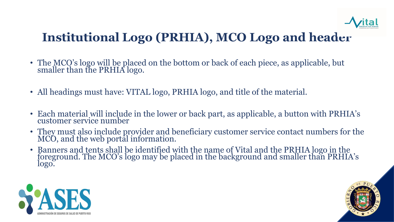

# **Institutional Logo (PRHIA), MCO Logo and header**

- The MCQ's logo will be placed on the bottom or back of each piece, as applicable, but smaller than the PRHIA logo.
- All headings must have: VITAL logo, PRHIA logo, and title of the material.
- Each material will include in the lower or back part, as applicable, a button with PRHIA's customer service number
- They must also include provider and beneficiary customer service contact numbers for the MCO, and the web portal information.
- Banners and tents shall be identified with the name of Vital and the PRHIA logo in the foreground. The MCO's logo may be placed in the background and smaller than PRHIA's logo.



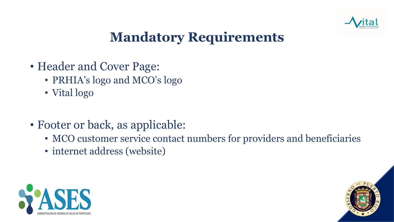

# **Mandatory Requirements**

- Header and Cover Page:
	- PRHIA's logo and MCO's logo
	- Vital logo
- Footer or back, as applicable:
	- MCO customer service contact numbers for providers and beneficiaries
	- internet address (website)



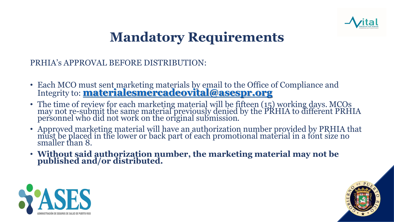

# **Mandatory Requirements**

#### PRHIA's APPROVAL BEFORE DISTRIBUTION:

- Each MCO must sent marketing materials by email to the Office of Compliance and Integrity to: **[materialesmercadeovital@asespr.org](mailto:materialesmercadeovital@asespr.org)**
- The time of review for each marketing material will be fifteen (15) working days. MCOs may not re-submit the same material previously denied by the PRHIA to different PRHIA personnel who did not work on the original submission.
- Approved marketing material will have an authorization number provided by PRHIA that must be placed in the lower or back part of each promotional material in a font size no smaller than 8.
- **Without said authorization number, the marketing material may not be published and/or distributed.**



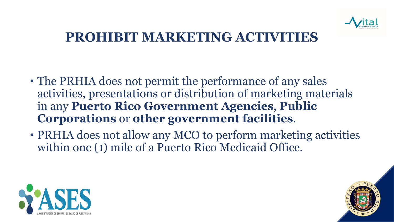

- The PRHIA does not permit the performance of any sales activities, presentations or distribution of marketing materials in any **Puerto Rico Government Agencies**, **Public Corporations** or **other government facilities**.
- PRHIA does not allow any MCO to perform marketing activities within one (1) mile of a Puerto Rico Medicaid Office.



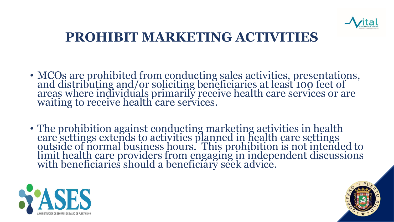

- MCOs are prohibited from conducting sales activities, presentations, and distributing and/or soliciting beneficiaries at least 100 feet of areas where individuals primarily receive health care services or are waiting to receive health care services.
- The prohibition against conducting marketing activities in health care settings extends to activities planned in health care settings outside of normal business hours. This prohibition is not intended to limit health care providers from engaging in independent discussions with beneficiaries should a beneficiary seek advice.



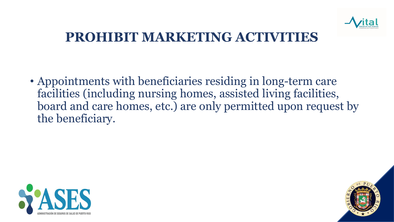

• Appointments with beneficiaries residing in long-term care facilities (including nursing homes, assisted living facilities, board and care homes, etc.) are only permitted upon request by the beneficiary.



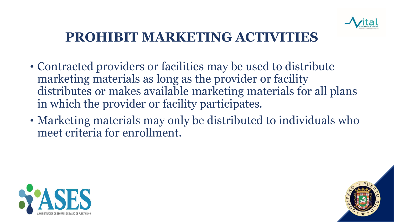

- Contracted providers or facilities may be used to distribute marketing materials as long as the provider or facility distributes or makes available marketing materials for all plans in which the provider or facility participates.
- Marketing materials may only be distributed to individuals who meet criteria for enrollment.



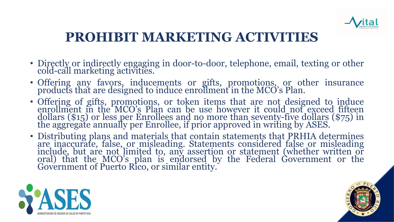

- Directly or indirectly engaging in door-to-door, telephone, email, texting or other cold-call marketing activities.
- Offering any favors, inducements or gifts, promotions, or other insurance products that are designed to induce enrollment in the MCO's Plan.
- Offering of gifts, promotions, or token items that are not designed to induce enrollment in the MCO's Plan can be use however it could not exceed fifteen dollars (\$15) or less per Enrollees and no more than seventy-five dollars (\$75) in the aggregate annually per Enrollee, if prior approved in writing by ASES.
- Distributing plans and materials that contain statements that PRHIA determines are inaccurate, false, or misleading. Statements considered false or misleading include, but are not limited to, any assertion or statement (whether written or oral) that the MCO's plan is endorsed by the Federal Government or the Government of Puerto Rico, or similar entity.



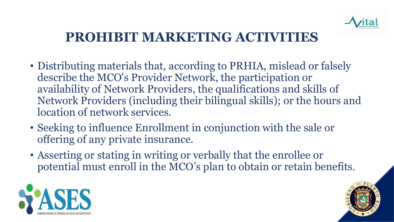

- Distributing materials that, according to PRHIA, mislead or falsely describe the MCO's Provider Network, the participation or availability of Network Providers, the qualifications and skills of Network Providers (including their bilingual skills); or the hours and location of network services.
- Seeking to influence Enrollment in conjunction with the sale or offering of any private insurance.
- Asserting or stating in writing or verbally that the enrollee or potential must enroll in the MCO's plan to obtain or retain benefits.



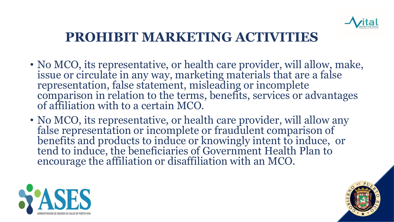

- No MCO, its representative, or health care provider, will allow, make, issue or circulate in any way, marketing materials that are a false representation, false statement, misleading or incomplete comparison in relation to the terms, benefits, services or advantages of affiliation with to a certain MCO.
- No MCO, its representative, or health care provider, will allow any false representation or incomplete or fraudulent comparison of benefits and products to induce or knowingly intent to induce, or tend to induce, the beneficiaries of Government Health Plan to encourage the affiliation or disaffiliation with an MCO.



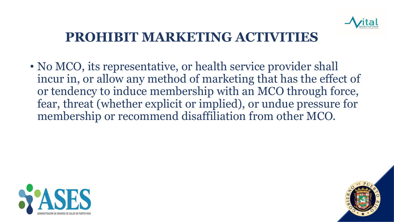

• No MCO, its representative, or health service provider shall incur in, or allow any method of marketing that has the effect of or tendency to induce membership with an MCO through force, fear, threat (whether explicit or implied), or undue pressure for membership or recommend disaffiliation from other MCO.



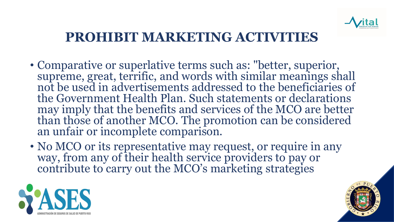

- Comparative or superlative terms such as: "better, superior, supreme, great, terrific, and words with similar meanings shall not be used in advertisements addressed to the beneficiaries of the Government Health Plan. Such statements or declarations may imply that the benefits and services of the MCO are better than those of another MCO. The promotion can be considered an unfair or incomplete comparison.
- No MCO or its representative may request, or require in any way, from any of their health service providers to pay or contribute to carry out the MCO's marketing strategies



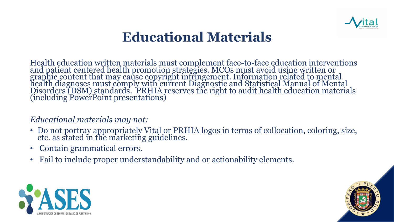

Health education written materials must complement face-to-face education interventions and patient centered health promotion strategies. MCOs must avoid using written or graphic content that may cause copyright infringement. Information related to mental health diagnoses must comply with current Diagnostic and Statistical Manual of Mental Disorders (DSM) standards. PRHIA reserves the right to audit health education materials (including PowerPoint presentations)

#### *Educational materials may not:*

- Do not portray appropriately Vital or PRHIA logos in terms of collocation, coloring, size, etc. as stated in the marketing guidelines.
- Contain grammatical errors.
- Fail to include proper understandability and or actionability elements.



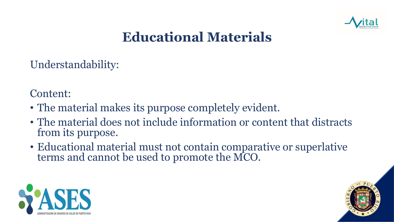

Understandability:

Content:

- The material makes its purpose completely evident.
- The material does not include information or content that distracts from its purpose.
- Educational material must not contain comparative or superlative terms and cannot be used to promote the MCO.



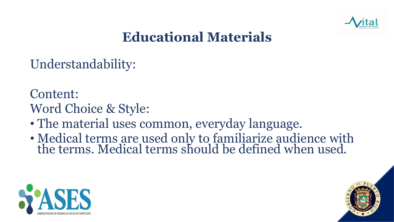

Understandability:

Content:

- Word Choice & Style:
- The material uses common, everyday language.
- Medical terms are used only to familiarize audience with the terms. Medical terms should be defined when used.



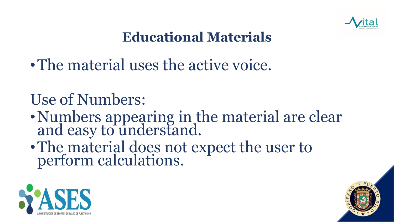

• The material uses the active voice.

# Use of Numbers:

- •Numbers appearing in the material are clear and easy to understand.
- •The material does not expect the user to perform calculations.



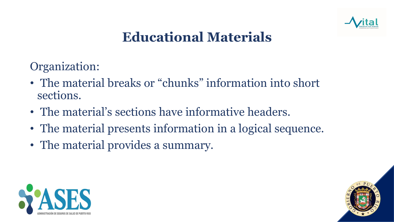

Organization:

- The material breaks or "chunks" information into short sections.
- The material's sections have informative headers.
- The material presents information in a logical sequence.
- The material provides a summary.



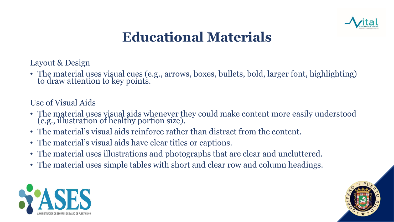

Layout & Design

• The material uses visual cues (e.g., arrows, boxes, bullets, bold, larger font, highlighting) to draw attention to key points.

Use of Visual Aids

- The material uses visual aids whenever they could make content more easily understood (e.g., illustration of healthy portion size).
- The material's visual aids reinforce rather than distract from the content.
- The material's visual aids have clear titles or captions.
- The material uses illustrations and photographs that are clear and uncluttered.
- The material uses simple tables with short and clear row and column headings.